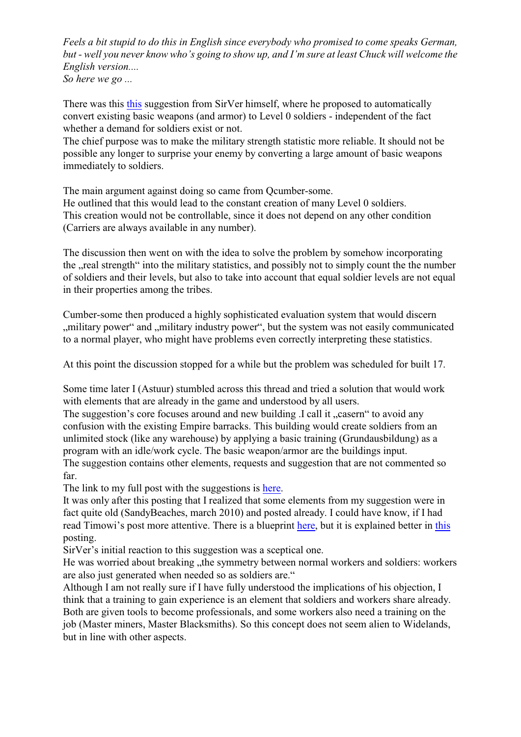*Feels a bit stupid to do this in English since everybody who promised to come speaks German, but - well you never know who's going to show up, and I'm sure at least Chuck will welcome the English version....*

*So here we go ...*

There was this [this](https://bugs.launchpad.net/widelands/+bug/669922) suggestion from SirVer himself, where he proposed to automatically convert existing basic weapons (and armor) to Level 0 soldiers - independent of the fact whether a demand for soldiers exist or not.

The chief purpose was to make the military strength statistic more reliable. It should not be possible any longer to surprise your enemy by converting a large amount of basic weapons immediately to soldiers.

The main argument against doing so came from Qcumber-some.

He outlined that this would lead to the constant creation of many Level 0 soldiers. This creation would not be controllable, since it does not depend on any other condition (Carriers are always available in any number).

The discussion then went on with the idea to solve the problem by somehow incorporating the "real strength" into the military statistics, and possibly not to simply count the the number of soldiers and their levels, but also to take into account that equal soldier levels are not equal in their properties among the tribes.

Cumber-some then produced a highly sophisticated evaluation system that would discern , military power" and , military industry power", but the system was not easily communicated to a normal player, who might have problems even correctly interpreting these statistics.

At this point the discussion stopped for a while but the problem was scheduled for built 17.

Some time later I (Astuur) stumbled across this thread and tried a solution that would work with elements that are already in the game and understood by all users.

The suggestion's core focuses around and new building .I call it "casern" to avoid any confusion with the existing Empire barracks. This building would create soldiers from an unlimited stock (like any warehouse) by applying a basic training (Grundausbildung) as a program with an idle/work cycle. The basic weapon/armor are the buildings input.

The suggestion contains other elements, requests and suggestion that are not commented so far.

The link to my full post with the suggestions is [here](https://bugs.launchpad.net/widelands/+bug/669922/comments/10).

It was only after this posting that I realized that some elements from my suggestion were in fact quite old (SandyBeaches, march 2010) and posted already. I could have know, if I had read Timowi's post more attentive. There is a blueprint [here](https://blueprints.launchpad.net/widelands/+spec/soldiers-not-from-warehouse), but it is explained better in [this](https://bugs.launchpad.net/widelands/+bug/536247/comments/19) posting.

SirVer's initial reaction to this suggestion was a sceptical one.

He was worried about breaking "the symmetry between normal workers and soldiers: workers are also just generated when needed so as soldiers are."

Although I am not really sure if I have fully understood the implications of his objection, I think that a training to gain experience is an element that soldiers and workers share already. Both are given tools to become professionals, and some workers also need a training on the job (Master miners, Master Blacksmiths). So this concept does not seem alien to Widelands, but in line with other aspects.